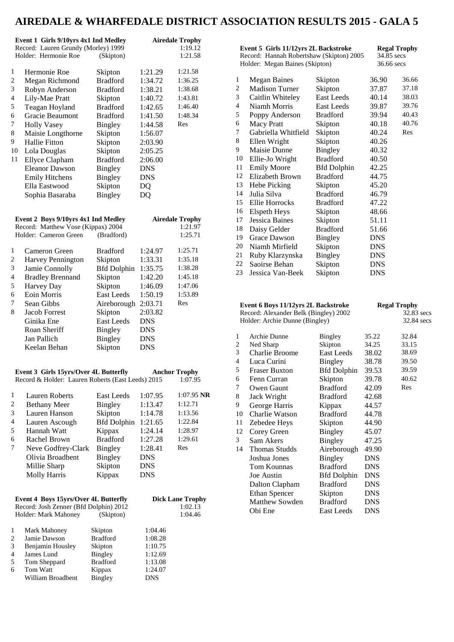# **AIREDALE & WHARFEDALE DISTRICT ASSOCIATION RESULTS 2015 - GALA 5**

| AINLDALL &<br>VIIANI LIJALLI IJI) I NIU                                         |                                                                                                                                                                                                                                                                                                    |                                                                                                                                                                                                           |                                                                                                                                                                      |                                                                            |
|---------------------------------------------------------------------------------|----------------------------------------------------------------------------------------------------------------------------------------------------------------------------------------------------------------------------------------------------------------------------------------------------|-----------------------------------------------------------------------------------------------------------------------------------------------------------------------------------------------------------|----------------------------------------------------------------------------------------------------------------------------------------------------------------------|----------------------------------------------------------------------------|
|                                                                                 | Event 1 Girls 9/10yrs 4x1 Ind Medley<br>Record: Lauren Grundy (Morley) 1999<br>Holder: Hermonie Roe                                                                                                                                                                                                | (Skipton)                                                                                                                                                                                                 |                                                                                                                                                                      | <b>Airedale Trophy</b><br>1:19.12<br>1:21.58                               |
| 1<br>$\overline{c}$<br>3<br>$\overline{4}$<br>5<br>6<br>7<br>8<br>9<br>10<br>11 | Hermonie Roe<br>Megan Richmond<br>Robyn Anderson<br>Lily-Mae Pratt<br>Teagan Hoyland<br>Gracie Beaumont<br><b>Holly Vasey</b><br>Maisie Longthorne<br><b>Hallie Fitton</b><br>Lola Douglas<br>Ellyce Clapham<br><b>Eleanor Dawson</b><br><b>Emily Hitchens</b><br>Ella Eastwood<br>Sophia Basaraba | Skipton<br><b>Bradford</b><br><b>Bradford</b><br>Skipton<br><b>Bradford</b><br><b>Bradford</b><br>Bingley<br>Skipton<br>Skipton<br>Skipton<br><b>Bradford</b><br>Bingley<br>Bingley<br>Skipton<br>Bingley | 1:21.29<br>1:34.72<br>1:38.21<br>1:40.72<br>1:42.65<br>1:41.50<br>1:44.58<br>1:56.07<br>2:03.90<br>2:05.25<br>2:06.00<br>DNS<br><b>DNS</b><br><b>DQ</b><br><b>DQ</b> | 1:21.58<br>1:36.25<br>1:38.68<br>1:43.81<br>1:46.40<br>1:48.34<br>Res      |
|                                                                                 | Event 2 Boys 9/10yrs 4x1 Ind Medley<br>Record: Matthew Vose (Kippax) 2004<br>Holder: Cameron Green                                                                                                                                                                                                 | (Bradford)                                                                                                                                                                                                |                                                                                                                                                                      | <b>Airedale Trophy</b><br>1:21.97<br>1:25.71                               |
| 1<br>$\overline{c}$<br>3<br>$\overline{4}$<br>5<br>6<br>7<br>8                  | Cameron Green<br>Harvey Pennington<br>Jamie Connolly<br><b>Bradley Brennand</b><br>Harvey Day<br>Eoin Morris<br>Sean Gibbs<br><b>Jacob Forrest</b><br>Ginika Ene<br>Roan Sheriff<br>Jan Pallich<br>Keelan Behan                                                                                    | <b>Bradford</b><br>Skipton<br><b>Bfd Dolphin</b><br>Skipton<br>Skipton<br><b>East Leeds</b><br>Aireborough<br>Skipton<br>East Leeds<br>Bingley<br><b>Bingley</b><br>Skipton                               | 1:24.97<br>1:33.31<br>1:35.75<br>1:42.20<br>1:46.09<br>1:50.19<br>2:03.71<br>2:03.82<br><b>DNS</b><br><b>DNS</b><br><b>DNS</b><br><b>DNS</b>                         | 1:25.71<br>1:35.18<br>1:38.28<br>1:45.18<br>1:47.06<br>1:53.89<br>Res      |
|                                                                                 | Event 3 Girls 15yrs/Over 4L Butterfly<br>Record & Holder: Lauren Roberts (East Leeds) 2015                                                                                                                                                                                                         |                                                                                                                                                                                                           |                                                                                                                                                                      | <b>Anchor Trophy</b><br>1:07.95                                            |
| 1<br>2<br>3<br>$\overline{4}$<br>5<br>6<br>7                                    | <b>Lauren Roberts</b><br><b>Bethany Meer</b><br>Lauren Hanson<br>Lauren Ascough<br>Hannah Watt<br>Rachel Brown<br>Neve Godfrey-Clark<br>Olivia Broadbent<br>Millie Sharp<br><b>Molly Harris</b>                                                                                                    | <b>East Leeds</b><br><b>Bingley</b><br>Skipton<br><b>Bfd Dolphin</b><br>Kippax<br><b>Bradford</b><br><b>Bingley</b><br><b>Bingley</b><br>Skipton<br>Kippax                                                | 1:07.95<br>1:13.47<br>1:14.78<br>1:21.65<br>1:24.14<br>1:27.28<br>1:28.41<br>DNS<br><b>DNS</b><br><b>DNS</b>                                                         | $1:07.95$ NR<br>1:12.71<br>1:13.56<br>1:22.84<br>1:28.97<br>1:29.61<br>Res |
|                                                                                 | Event 4 Boys 15yrs/Over 4L Butterfly<br>Record: Josh Zenner (Bfd Dolphin) 2012<br>Holder: Mark Mahoney                                                                                                                                                                                             | (Skipton)                                                                                                                                                                                                 |                                                                                                                                                                      | <b>Dick Lane Trophy</b><br>1:02.13<br>1:04.46                              |
| 1<br>$\overline{c}$<br>3<br>4<br>5<br>6                                         | Mark Mahoney<br>Jamie Dawson<br>Benjamin Housley<br>James Lund<br>Tom Sheppard<br>Tom Watt<br>William Broadbent                                                                                                                                                                                    | Skipton<br><b>Bradford</b><br>Skipton<br><b>Bingley</b><br><b>Bradford</b><br>Kippax<br><b>Bingley</b>                                                                                                    | 1:04.46<br>1:08.28<br>1:10.75<br>1:12.69<br>1:13.08<br>1:24.07<br>DNS                                                                                                |                                                                            |

| Event 5 Girls 11/12yrs 2L Backstroke<br>Record: Hannah Robertshaw (Skipton) 2005<br>Holder: Megan Baines (Skipton) |                       | <b>Regal Trophy</b><br>34.85 secs<br>36.66 secs |            |       |
|--------------------------------------------------------------------------------------------------------------------|-----------------------|-------------------------------------------------|------------|-------|
| 1                                                                                                                  | <b>Megan Baines</b>   | Skipton                                         | 36.90      | 36.66 |
| 2                                                                                                                  | <b>Madison Turner</b> | Skipton                                         | 37.87      | 37.18 |
| 3                                                                                                                  | Caitlin Whiteley      | <b>East Leeds</b>                               | 40.14      | 38.03 |
| 4                                                                                                                  | Niamh Morris          | <b>East Leeds</b>                               | 39.87      | 39.76 |
| 5                                                                                                                  | Poppy Anderson        | <b>Bradford</b>                                 | 39.94      | 40.43 |
| 6                                                                                                                  | <b>Macy Pratt</b>     | Skipton                                         | 40.18      | 40.76 |
| 7                                                                                                                  | Gabriella Whitfield   | Skipton                                         | 40.24      | Res   |
| 8                                                                                                                  | Ellen Wright          | Skipton                                         | 40.26      |       |
| 9                                                                                                                  | Maisie Dunne          | <b>Bingley</b>                                  | 40.32      |       |
| 10                                                                                                                 | Ellie-Jo Wright       | <b>Bradford</b>                                 | 40.50      |       |
| 11                                                                                                                 | <b>Emily Moore</b>    | <b>Bfd Dolphin</b>                              | 42.25      |       |
| 12                                                                                                                 | Elizabeth Brown       | <b>Bradford</b>                                 | 44.75      |       |
| 13                                                                                                                 | Hebe Picking          | Skipton                                         | 45.20      |       |
| 14                                                                                                                 | Julia Silva           | <b>Bradford</b>                                 | 46.79      |       |
| 15                                                                                                                 | Ellie Horrocks        | <b>Bradford</b>                                 | 47.22      |       |
| 16                                                                                                                 | <b>Elspeth Heys</b>   | Skipton                                         | 48.66      |       |
| 17                                                                                                                 | <b>Jessica Baines</b> | Skipton                                         | 51.11      |       |
| 18                                                                                                                 | Daisy Gelder          | <b>Bradford</b>                                 | 51.66      |       |
| 19                                                                                                                 | Grace Dawson          | <b>Bingley</b>                                  | <b>DNS</b> |       |
| 20                                                                                                                 | Niamh Mirfield        | Skipton                                         | <b>DNS</b> |       |
| 21                                                                                                                 | Ruby Klarzynska       | Bingley                                         | <b>DNS</b> |       |
| 22                                                                                                                 | Saoirse Behan         | Skipton                                         | DNS        |       |
| 23                                                                                                                 | Jessica Van-Beek      | Skipton                                         | DNS        |       |

| Event 6 Boys 11/12yrs 2L Backstroke   | <b>Regal Trophy</b> |
|---------------------------------------|---------------------|
| Record: Alexander Belk (Bingley) 2002 | 32.83 secs          |

| $Recofu$ . Alexander Beik (Biligiey) $2002$ |                                |                    |            | J2.0J SCCS |
|---------------------------------------------|--------------------------------|--------------------|------------|------------|
|                                             | Holder: Archie Dunne (Bingley) |                    |            | 32.84 secs |
| 1                                           | Archie Dunne                   | Bingley            | 35.22      | 32.84      |
| $\overline{\mathbf{c}}$                     | Ned Sharp                      | Skipton            | 34.25      | 33.15      |
| 3                                           | Charlie Broome                 | East Leeds         | 38.02      | 38.69      |
| 4                                           | Luca Curini                    | Bingley            | 38.78      | 39.50      |
| 5                                           | <b>Fraser Buxton</b>           | <b>Bfd Dolphin</b> | 39.53      | 39.59      |
| 6                                           | Fenn Curran                    | Skipton            | 39.78      | 40.62      |
| 7                                           | Owen Gaunt                     | <b>Bradford</b>    | 42.09      | Res        |
| 8                                           | Jack Wright                    | <b>Bradford</b>    | 42.68      |            |
| 9                                           | George Harris                  | Kippax             | 44.57      |            |
| 10                                          | Charlie Watson                 | <b>Bradford</b>    | 44.78      |            |
| 11                                          | Zebedee Heys                   | Skipton            | 44.90      |            |
| 12                                          | Corey Green                    | Bingley            | 45.07      |            |
| 3                                           | Sam Akers                      | Bingley            | 47.25      |            |
| 14                                          | Thomas Studds                  | Aireborough        | 49.90      |            |
|                                             | Joshua Jones                   | <b>Bingley</b>     | <b>DNS</b> |            |
|                                             | <b>Tom Kounnas</b>             | <b>Bradford</b>    | <b>DNS</b> |            |
|                                             | Joe Austin                     | <b>Bfd Dolphin</b> | <b>DNS</b> |            |
|                                             | Dalton Clapham                 | <b>Bradford</b>    | <b>DNS</b> |            |
|                                             | <b>Ethan Spencer</b>           | Skipton            | <b>DNS</b> |            |
|                                             | <b>Matthew Sowden</b>          | <b>Bradford</b>    | <b>DNS</b> |            |
|                                             | Obi Ene                        | East Leeds         | <b>DNS</b> |            |
|                                             |                                |                    |            |            |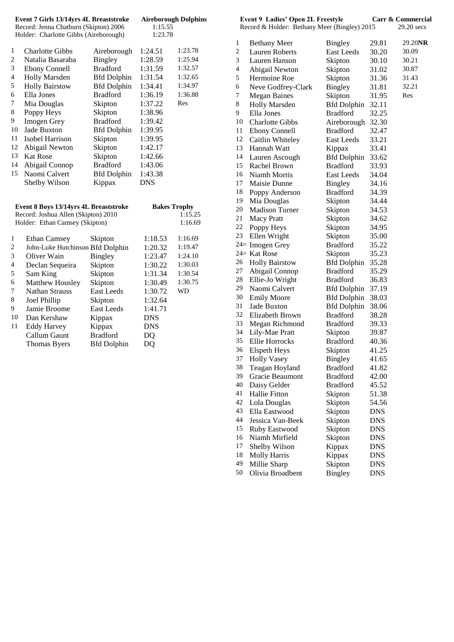|                         | Event 7 Girls 13/14yrs 4L Breaststroke<br>Record: Jenna Chatburn (Skipton) 2006<br>Holder: Charlotte Gibbs (Aireborough) |                    | 1:15.55<br>1:23.78 | <b>Aireborough Dolphins</b>               |
|-------------------------|--------------------------------------------------------------------------------------------------------------------------|--------------------|--------------------|-------------------------------------------|
| 1                       | <b>Charlotte Gibbs</b>                                                                                                   | Aireborough        | 1:24.51            | 1:23.78                                   |
| 2                       | Natalia Basaraba                                                                                                         | <b>Bingley</b>     | 1:28.59            | 1:25.94                                   |
| 3                       | <b>Ebony Connell</b>                                                                                                     | <b>Bradford</b>    | 1:31.59            | 1:32.57                                   |
| $\overline{4}$          | <b>Holly Marsden</b>                                                                                                     | <b>Bfd Dolphin</b> | 1:31.54            | 1:32.65                                   |
| 5                       | <b>Holly Bairstow</b>                                                                                                    | <b>Bfd Dolphin</b> | 1:34.41            | 1:34.97                                   |
| 6                       | Ella Jones                                                                                                               | <b>Bradford</b>    | 1:36.19            | 1:36.88                                   |
| 7                       | Mia Douglas                                                                                                              | Skipton            | 1:37.22            | Res                                       |
| 8                       | Poppy Heys                                                                                                               | Skipton            | 1:38.96            |                                           |
| 9                       | Imogen Grey                                                                                                              | <b>Bradford</b>    | 1:39.42            |                                           |
| 10                      | Jade Buxton                                                                                                              | <b>Bfd Dolphin</b> | 1:39.95            |                                           |
| 11                      | <b>Isobel Harrison</b>                                                                                                   | Skipton            | 1:39.95            |                                           |
| 12                      | Abigail Newton                                                                                                           | Skipton            | 1:42.17            |                                           |
| 13                      | <b>Kat Rose</b>                                                                                                          | Skipton            | 1:42.66            |                                           |
| 14                      | Abigail Connop                                                                                                           | <b>Bradford</b>    | 1:43.06            |                                           |
| 15                      | Naomi Calvert                                                                                                            | <b>Bfd Dolphin</b> | 1:43.38            |                                           |
|                         | Shelby Wilson                                                                                                            | Kippax             | <b>DNS</b>         |                                           |
|                         | Event 8 Boys 13/14yrs 4L Breaststroke<br>Record: Joshua Allen (Skipton) 2010<br>Holder: Ethan Camsey (Skipton)           |                    |                    | <b>Bakes Trophy</b><br>1:15.25<br>1:16.69 |
| 1                       | <b>Ethan Camsey</b>                                                                                                      | Skipton            | 1:18.53            | 1:16.69                                   |
| $\overline{\mathbf{c}}$ | John-Luke Hutchinson Bfd Dolphin                                                                                         |                    | 1:20.32            | 1:19.47                                   |
| 3                       | Oliver Wain                                                                                                              | Bingley            | 1:23.47            | 1:24.10                                   |
| $\overline{4}$          | Declan Sequeira                                                                                                          | Skipton            | 1:30.22            | 1:30.03                                   |
| 5                       | Sam King                                                                                                                 | Skipton            | 1:31.34            | 1:30.54                                   |
| 6                       | Matthew Housley                                                                                                          | Skipton            | 1:30.49            | 1:30.75                                   |
| 7                       | <b>Nathan Strauss</b>                                                                                                    | <b>East Leeds</b>  | 1:30.72            | <b>WD</b>                                 |
| 8                       | Joel Phillip                                                                                                             | Skipton            | 1:32.64            |                                           |
| 9                       | Jamie Broome                                                                                                             | <b>East Leeds</b>  | 1:41.71            |                                           |
| 10                      | Dan Kershaw                                                                                                              | Kippax             | <b>DNS</b>         |                                           |
| 11                      | <b>Eddy Harvey</b>                                                                                                       | Kippax             | <b>DNS</b>         |                                           |

Callum Gaunt Bradford DQ Thomas Byers Bfd Dolphin DQ

| <b>Event 9 Ladies' Open 2L Freestyle</b><br>Carr & Commercial<br>Record & Holder: Bethany Meer (Bingley) 2015 |                                 |                               |                | $29.20$ secs |
|---------------------------------------------------------------------------------------------------------------|---------------------------------|-------------------------------|----------------|--------------|
|                                                                                                               |                                 |                               |                |              |
| 1                                                                                                             | <b>Bethany Meer</b>             | <b>Bingley</b>                | 29.81          | 29.20NR      |
| $\overline{c}$                                                                                                | <b>Lauren Roberts</b>           | East Leeds                    | 30.20          | 30.09        |
| 3                                                                                                             | Lauren Hanson                   | Skipton                       | 30.10          | 30.21        |
| 4                                                                                                             | Abigail Newton                  | Skipton                       | 31.02          | 30.87        |
| 5                                                                                                             | Hermoine Roe                    | Skipton                       | 31.36          | 31.43        |
| 6                                                                                                             | Neve Godfrey-Clark              | <b>Bingley</b>                | 31.81          | 32.21        |
| 7                                                                                                             | <b>Megan Baines</b>             | Skipton                       | 31.95          | Res          |
| 8                                                                                                             | <b>Holly Marsden</b>            | <b>Bfd Dolphin</b>            | 32.11          |              |
| 9                                                                                                             | Ella Jones                      | <b>Bradford</b>               | 32.25          |              |
| 10                                                                                                            | <b>Charlotte Gibbs</b>          | Aireborough                   | 32.30          |              |
| 11                                                                                                            | <b>Ebony Connell</b>            | Bradford                      | 32.47          |              |
| 12                                                                                                            | Caitlin Whiteley                | <b>East Leeds</b>             | 33.21          |              |
| 13                                                                                                            | Hannah Watt                     | Kippax                        | 33.41          |              |
| 14                                                                                                            | Lauren Ascough                  | <b>Bfd Dolphin</b>            | 33.62          |              |
| 15                                                                                                            | Rachel Brown                    | <b>Bradford</b>               | 33.93          |              |
| 16                                                                                                            | Niamh Morris                    | <b>East Leeds</b>             | 34.04          |              |
| 17                                                                                                            | Maisie Dunne                    | <b>Bingley</b>                | 34.16          |              |
| 18                                                                                                            | Poppy Anderson                  | <b>Bradford</b>               | 34.39          |              |
| 19                                                                                                            | Mia Douglas                     | Skipton                       | 34.44          |              |
| 20                                                                                                            | <b>Madison Turner</b>           | Skipton                       | 34.53          |              |
| 21<br>22                                                                                                      | <b>Macy Pratt</b>               | Skipton                       | 34.62          |              |
| 23                                                                                                            | Poppy Heys                      | Skipton                       | 34.95          |              |
|                                                                                                               | Ellen Wright                    | Skipton<br><b>Bradford</b>    | 35.00<br>35.22 |              |
|                                                                                                               | 24= Imogen Grey<br>24= Kat Rose |                               | 35.23          |              |
| 26                                                                                                            | <b>Holly Bairstow</b>           | Skipton<br><b>Bfd Dolphin</b> | 35.28          |              |
| 27                                                                                                            | Abigail Connop                  | <b>Bradford</b>               | 35.29          |              |
| 28                                                                                                            | Ellie-Jo Wright                 | <b>Bradford</b>               | 36.83          |              |
| 29                                                                                                            | Naomi Calvert                   | <b>Bfd Dolphin</b>            | 37.19          |              |
| 30                                                                                                            | <b>Emily Moore</b>              | <b>Bfd Dolphin</b>            | 38.03          |              |
| 31                                                                                                            | Jade Buxton                     | <b>Bfd Dolphin</b>            | 38.06          |              |
| 32                                                                                                            | Elizabeth Brown                 | <b>Bradford</b>               | 38.28          |              |
| 33                                                                                                            | Megan Richmond                  | <b>Bradford</b>               | 39.33          |              |
| 34                                                                                                            | Lily-Mae Pratt                  | Skipton                       | 39.87          |              |
| 35                                                                                                            | <b>Ellie Horrocks</b>           | <b>Bradford</b>               | 40.36          |              |
| 36                                                                                                            | Elspeth Heys                    | Skipton                       | 41.25          |              |
| 37                                                                                                            | <b>Holly Vasey</b>              | Bingley                       | 41.65          |              |
| 38                                                                                                            | Teagan Hoyland                  | <b>Bradford</b>               | 41.82          |              |
| 39                                                                                                            | Gracie Beaumont                 | <b>Bradford</b>               | 42.00          |              |
| 40                                                                                                            | Daisy Gelder                    | <b>Bradford</b>               | 45.52          |              |
| 41                                                                                                            | Hallie Fitton                   | Skipton                       | 51.38          |              |
| 42                                                                                                            | Lola Douglas                    | Skipton                       | 54.56          |              |
| 43                                                                                                            | Ella Eastwood                   | Skipton                       | <b>DNS</b>     |              |
| 44                                                                                                            | Jessica Van-Beek                | Skipton                       | <b>DNS</b>     |              |
| 15                                                                                                            | Ruby Eastwood                   | Skipton                       | <b>DNS</b>     |              |
| 16                                                                                                            | Niamh Mirfield                  | Skipton                       | <b>DNS</b>     |              |
| 17                                                                                                            | Shelby Wilson                   | Kippax                        | <b>DNS</b>     |              |
| 18                                                                                                            | Molly Harris                    | Kippax                        | <b>DNS</b>     |              |
| 49                                                                                                            | Millie Sharp                    | Skipton                       | <b>DNS</b>     |              |
| 50                                                                                                            | Olivia Broadbent                | <b>Bingley</b>                | <b>DNS</b>     |              |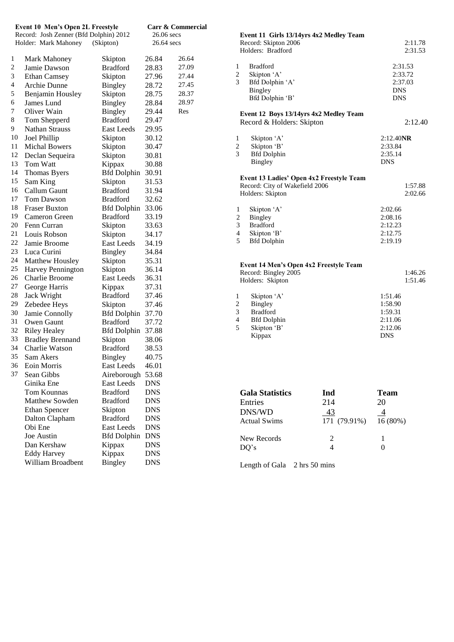| Event 10 Men's Open 2L Freestyle<br>Record: Josh Zenner (Bfd Dolphin) 2012 |                         | 26.06 secs         | Carr & Commercial |       |
|----------------------------------------------------------------------------|-------------------------|--------------------|-------------------|-------|
| Holder: Mark Mahoney                                                       |                         | (Skipton)          | 26.64 secs        |       |
|                                                                            |                         |                    |                   |       |
| 1                                                                          | Mark Mahoney            | Skipton            | 26.84             | 26.64 |
| 2                                                                          | Jamie Dawson            | <b>Bradford</b>    | 28.83             | 27.09 |
| 3                                                                          | <b>Ethan Camsey</b>     | Skipton            | 27.96             | 27.44 |
| $\overline{4}$                                                             | Archie Dunne            | Bingley            | 28.72             | 27.45 |
| 5                                                                          | Benjamin Housley        | Skipton            | 28.75             | 28.37 |
| 6                                                                          | James Lund              | Bingley            | 28.84             | 28.97 |
| 7                                                                          | Oliver Wain             | Bingley            | 29.44             | Res   |
| 8                                                                          | Tom Shepperd            | <b>Bradford</b>    | 29.47             |       |
| 9                                                                          | <b>Nathan Strauss</b>   | <b>East Leeds</b>  | 29.95             |       |
| 10                                                                         | Joel Phillip            | Skipton            | 30.12             |       |
| 11                                                                         | Michal Bowers           | Skipton            | 30.47             |       |
| 12                                                                         | Declan Sequeira         | Skipton            | 30.81             |       |
| 13                                                                         | Tom Watt                | Kippax             | 30.88             |       |
| 14                                                                         | Thomas Byers            | <b>Bfd Dolphin</b> | 30.91             |       |
| 15                                                                         | Sam King                | Skipton            | 31.53             |       |
| 16                                                                         | Callum Gaunt            | <b>Bradford</b>    | 31.94             |       |
| 17                                                                         | Tom Dawson              | <b>Bradford</b>    | 32.62             |       |
| 18                                                                         | <b>Fraser Buxton</b>    | <b>Bfd Dolphin</b> | 33.06             |       |
| 19                                                                         | Cameron Green           | <b>Bradford</b>    | 33.19             |       |
| 20                                                                         | Fenn Curran             | Skipton            | 33.63             |       |
| 21                                                                         | Louis Robson            | Skipton            | 34.17             |       |
| 22                                                                         | Jamie Broome            | <b>East Leeds</b>  | 34.19             |       |
| 23                                                                         | Luca Curini             | Bingley            | 34.84             |       |
| 24                                                                         | Matthew Housley         | Skipton            | 35.31             |       |
| 25                                                                         | Harvey Pennington       | Skipton            | 36.14             |       |
| 26                                                                         | <b>Charlie Broome</b>   | <b>East Leeds</b>  | 36.31             |       |
| 27                                                                         | George Harris           | Kippax             | 37.31             |       |
| 28                                                                         | Jack Wright             | <b>Bradford</b>    | 37.46             |       |
| 29                                                                         | Zebedee Heys            | Skipton            | 37.46             |       |
| 30                                                                         | Jamie Connolly          | <b>Bfd Dolphin</b> | 37.70             |       |
| 31                                                                         | Owen Gaunt              | <b>Bradford</b>    | 37.72             |       |
| 32                                                                         | <b>Riley Healey</b>     | <b>Bfd Dolphin</b> | 37.88             |       |
| 33                                                                         | <b>Bradley Brennand</b> | Skipton            | 38.06             |       |
| 34                                                                         | Charlie Watson          | <b>Bradford</b>    | 38.53             |       |
| 35                                                                         | Sam Akers               | Bingley            | 40.75             |       |
| 36                                                                         | Eoin Morris             | East Leeds         | 46.01             |       |
| 37                                                                         | Sean Gibbs              | Aireborough        | 53.68             |       |
|                                                                            | Ginika Ene              | <b>East Leeds</b>  | <b>DNS</b>        |       |
|                                                                            | Tom Kounnas             | <b>Bradford</b>    | <b>DNS</b>        |       |
|                                                                            | Matthew Sowden          | <b>Bradford</b>    | <b>DNS</b>        |       |
|                                                                            | <b>Ethan Spencer</b>    | Skipton            | <b>DNS</b>        |       |
|                                                                            | Dalton Clapham          | <b>Bradford</b>    | <b>DNS</b>        |       |
|                                                                            | Obi Ene                 | <b>East Leeds</b>  | <b>DNS</b>        |       |
|                                                                            | Joe Austin              | <b>Bfd Dolphin</b> | <b>DNS</b>        |       |
|                                                                            | Dan Kershaw             | Kippax             | <b>DNS</b>        |       |
|                                                                            | <b>Eddy Harvey</b>      | Kippax             | <b>DNS</b>        |       |
|                                                                            | William Broadbent       | Bingley            | <b>DNS</b>        |       |
|                                                                            |                         |                    |                   |       |

|                                    | Event 11 Girls 13/14yrs 4x2 Medley Team<br>Record: Skipton 2006<br>Holders: Bradford           | 2:11.78<br>2:31.53                                                |
|------------------------------------|------------------------------------------------------------------------------------------------|-------------------------------------------------------------------|
| 1<br>2<br>3                        | <b>Bradford</b><br>Skipton 'A'<br>Bfd Dolphin 'A'<br>Bingley<br>Bfd Dolphin 'B'                | 2:31.53<br>2:33.72<br>2:37.03<br><b>DNS</b><br><b>DNS</b>         |
|                                    | Event 12 Boys 13/14yrs 4x2 Medley Team<br>Record & Holders: Skipton                            | 2:12.40                                                           |
| 1<br>$\overline{c}$<br>3           | Skipton 'A'<br>Skipton 'B'<br><b>Bfd Dolphin</b><br>Bingley                                    | $2:12.40$ NR<br>2:33.84<br>2:35.14<br><b>DNS</b>                  |
|                                    | Event 13 Ladies' Open 4x2 Freestyle Team<br>Record: City of Wakefield 2006<br>Holders: Skipton | 1:57.88<br>2:02.66                                                |
| 1<br>2<br>3<br>4<br>5              | Skipton 'A'<br>Bingley<br><b>Bradford</b><br>Skipton 'B'<br><b>Bfd Dolphin</b>                 | 2:02.66<br>2:08.16<br>2:12.23<br>2:12.75<br>2:19.19               |
|                                    | Event 14 Men's Open 4x2 Freestyle Team<br>Record: Bingley 2005<br>Holders: Skipton             | 1:46.26<br>1:51.46                                                |
| 1<br>$\overline{c}$<br>3<br>4<br>5 | Skipton 'A'<br>Bingley<br><b>Bradford</b><br><b>Bfd Dolphin</b><br>Skipton 'B'<br>Kippax       | 1:51.46<br>1:58.90<br>1:59.31<br>2:11.06<br>2:12.06<br><b>DNS</b> |

| <b>Gala Statistics</b> | Ind                   | <b>Team</b> |
|------------------------|-----------------------|-------------|
| Entries                | 214                   | 20          |
| DNS/WD                 | 43                    |             |
| <b>Actual Swims</b>    | 171 (79.91%) 16 (80%) |             |
| New Records            | $\mathcal{L}$         |             |
| DO's                   |                       |             |

Length of Gala 2 hrs 50 mins